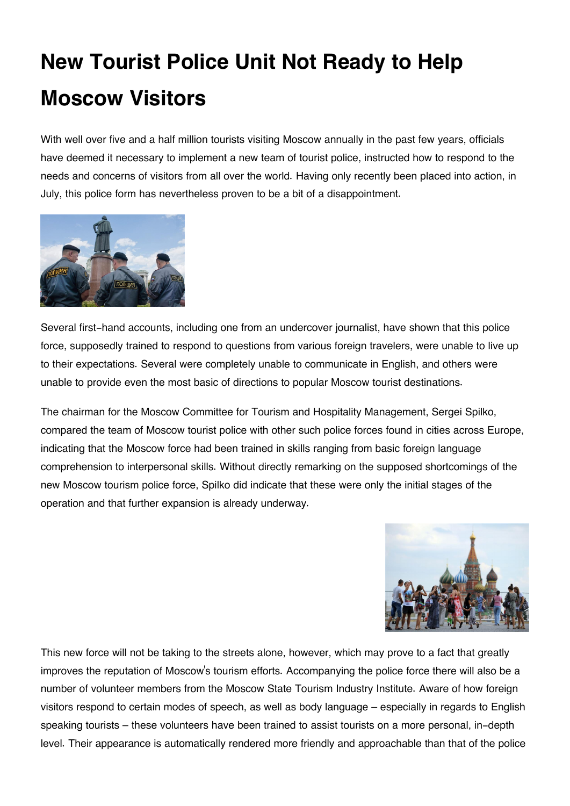## **New Tourist Police Unit Not Ready to Help Moscow Visitors**

With well over five and a half million tourists visiting Moscow annually in the past few years, officials have deemed it necessary to implement a new team of tourist police, instructed how to respond to the needs and concerns of visitors from all over the world. Having only recently been placed into action, in July, this police form has nevertheless proven to be a bit of a disappointment.



Several first-hand accounts, including one from an undercover journalist, have shown that this police force, supposedly trained to respond to questions from various foreign travelers, were unable to live up to their expectations. Several were completely unable to communicate in English, and others were unable to provide even the most basic of directions to popular Moscow tourist destinations.

The chairman for the Moscow Committee for Tourism and Hospitality Management, Sergei Spilko, compared the team of Moscow tourist police with other such police forces found in cities across Europe, indicating that the Moscow force had been trained in skills ranging from basic foreign language comprehension to interpersonal skills. Without directly remarking on the supposed shortcomings of the new Moscow tourism police force, Spilko did indicate that these were only the initial stages of the operation and that further expansion is already underway.



This new force will not be taking to the streets alone, however, which may prove to a fact that greatly improves the reputation of Moscow's tourism efforts. Accompanying the police force there will also be a number of volunteer members from the Moscow State Tourism Industry Institute. Aware of how foreign visitors respond to certain modes of speech, as well as body language – especially in regards to English speaking tourists – these volunteers have been trained to assist tourists on a more personal, in-depth level. Their appearance is automatically rendered more friendly and approachable than that of the police